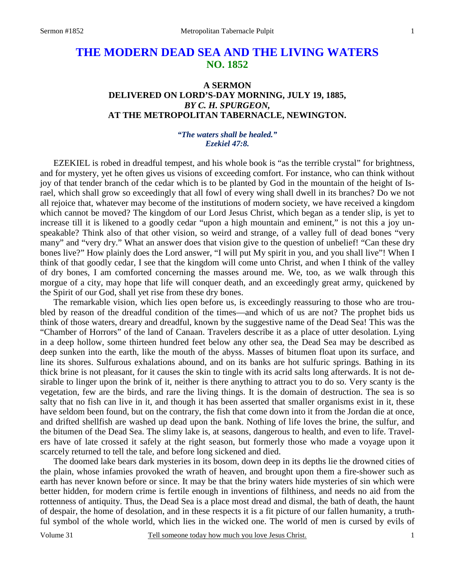# **THE MODERN DEAD SEA AND THE LIVING WATERS NO. 1852**

### **A SERMON DELIVERED ON LORD'S-DAY MORNING, JULY 19, 1885,**  *BY C. H. SPURGEON,*  **AT THE METROPOLITAN TABERNACLE, NEWINGTON.**

### *"The waters shall be healed." Ezekiel 47:8.*

EZEKIEL is robed in dreadful tempest, and his whole book is "as the terrible crystal" for brightness, and for mystery, yet he often gives us visions of exceeding comfort. For instance, who can think without joy of that tender branch of the cedar which is to be planted by God in the mountain of the height of Israel, which shall grow so exceedingly that all fowl of every wing shall dwell in its branches? Do we not all rejoice that, whatever may become of the institutions of modern society, we have received a kingdom which cannot be moved? The kingdom of our Lord Jesus Christ, which began as a tender slip, is yet to increase till it is likened to a goodly cedar "upon a high mountain and eminent," is not this a joy unspeakable? Think also of that other vision, so weird and strange, of a valley full of dead bones "very many" and "very dry." What an answer does that vision give to the question of unbelief! "Can these dry bones live?" How plainly does the Lord answer, "I will put My spirit in you, and you shall live"! When I think of that goodly cedar, I see that the kingdom will come unto Christ, and when I think of the valley of dry bones, I am comforted concerning the masses around me. We, too, as we walk through this morgue of a city, may hope that life will conquer death, and an exceedingly great army, quickened by the Spirit of our God, shall yet rise from these dry bones.

 The remarkable vision, which lies open before us, is exceedingly reassuring to those who are troubled by reason of the dreadful condition of the times—and which of us are not? The prophet bids us think of those waters, dreary and dreadful, known by the suggestive name of the Dead Sea! This was the "Chamber of Horrors" of the land of Canaan. Travelers describe it as a place of utter desolation. Lying in a deep hollow, some thirteen hundred feet below any other sea, the Dead Sea may be described as deep sunken into the earth, like the mouth of the abyss. Masses of bitumen float upon its surface, and line its shores. Sulfurous exhalations abound, and on its banks are hot sulfuric springs. Bathing in its thick brine is not pleasant, for it causes the skin to tingle with its acrid salts long afterwards. It is not desirable to linger upon the brink of it, neither is there anything to attract you to do so. Very scanty is the vegetation, few are the birds, and rare the living things. It is the domain of destruction. The sea is so salty that no fish can live in it, and though it has been asserted that smaller organisms exist in it, these have seldom been found, but on the contrary, the fish that come down into it from the Jordan die at once, and drifted shellfish are washed up dead upon the bank. Nothing of life loves the brine, the sulfur, and the bitumen of the Dead Sea. The slimy lake is, at seasons, dangerous to health, and even to life. Travelers have of late crossed it safely at the right season, but formerly those who made a voyage upon it scarcely returned to tell the tale, and before long sickened and died.

 The doomed lake bears dark mysteries in its bosom, down deep in its depths lie the drowned cities of the plain, whose infamies provoked the wrath of heaven, and brought upon them a fire-shower such as earth has never known before or since. It may be that the briny waters hide mysteries of sin which were better hidden, for modern crime is fertile enough in inventions of filthiness, and needs no aid from the rottenness of antiquity. Thus, the Dead Sea is a place most dread and dismal, the bath of death, the haunt of despair, the home of desolation, and in these respects it is a fit picture of our fallen humanity, a truthful symbol of the whole world, which lies in the wicked one. The world of men is cursed by evils of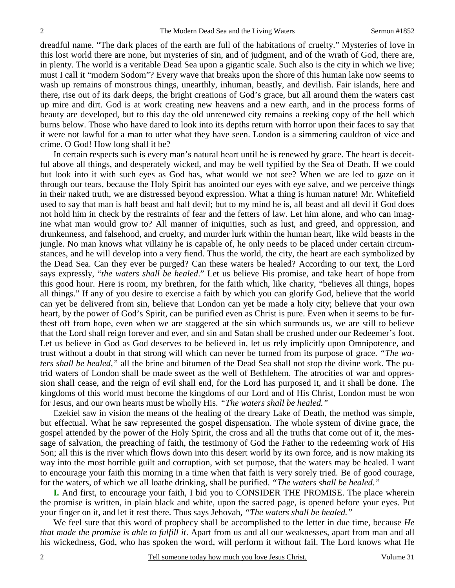dreadful name. "The dark places of the earth are full of the habitations of cruelty." Mysteries of love in this lost world there are none, but mysteries of sin, and of judgment, and of the wrath of God, there are, in plenty. The world is a veritable Dead Sea upon a gigantic scale. Such also is the city in which we live; must I call it "modern Sodom"? Every wave that breaks upon the shore of this human lake now seems to wash up remains of monstrous things, unearthly, inhuman, beastly, and devilish. Fair islands, here and there, rise out of its dark deeps, the bright creations of God's grace, but all around them the waters cast up mire and dirt. God is at work creating new heavens and a new earth, and in the process forms of beauty are developed, but to this day the old unrenewed city remains a reeking copy of the hell which burns below. Those who have dared to look into its depths return with horror upon their faces to say that it were not lawful for a man to utter what they have seen. London is a simmering cauldron of vice and crime. O God! How long shall it be?

 In certain respects such is every man's natural heart until he is renewed by grace. The heart is deceitful above all things, and desperately wicked, and may be well typified by the Sea of Death. If we could but look into it with such eyes as God has, what would we not see? When we are led to gaze on it through our tears, because the Holy Spirit has anointed our eyes with eye salve, and we perceive things in their naked truth, we are distressed beyond expression. What a thing is human nature! Mr. Whitefield used to say that man is half beast and half devil; but to my mind he is, all beast and all devil if God does not hold him in check by the restraints of fear and the fetters of law. Let him alone, and who can imagine what man would grow to? All manner of iniquities, such as lust, and greed, and oppression, and drunkenness, and falsehood, and cruelty, and murder lurk within the human heart, like wild beasts in the jungle. No man knows what villainy he is capable of, he only needs to be placed under certain circumstances, and he will develop into a very fiend. Thus the world, the city, the heart are each symbolized by the Dead Sea. Can they ever be purged? Can these waters be healed? According to our text, the Lord says expressly, "*the waters shall be healed*." Let us believe His promise, and take heart of hope from this good hour. Here is room, my brethren, for the faith which, like charity, "believes all things, hopes all things." If any of you desire to exercise a faith by which you can glorify God, believe that the world can yet be delivered from sin, believe that London can yet be made a holy city; believe that your own heart, by the power of God's Spirit, can be purified even as Christ is pure. Even when it seems to be furthest off from hope, even when we are staggered at the sin which surrounds us, we are still to believe that the Lord shall reign forever and ever, and sin and Satan shall be crushed under our Redeemer's foot. Let us believe in God as God deserves to be believed in, let us rely implicitly upon Omnipotence, and trust without a doubt in that strong will which can never be turned from its purpose of grace. *"The waters shall be healed,"* all the brine and bitumen of the Dead Sea shall not stop the divine work. The putrid waters of London shall be made sweet as the well of Bethlehem. The atrocities of war and oppression shall cease, and the reign of evil shall end, for the Lord has purposed it, and it shall be done. The kingdoms of this world must become the kingdoms of our Lord and of His Christ, London must be won for Jesus, and our own hearts must be wholly His. *"The waters shall be healed."*

 Ezekiel saw in vision the means of the healing of the dreary Lake of Death, the method was simple, but effectual. What he saw represented the gospel dispensation. The whole system of divine grace, the gospel attended by the power of the Holy Spirit, the cross and all the truths that come out of it, the message of salvation, the preaching of faith, the testimony of God the Father to the redeeming work of His Son; all this is the river which flows down into this desert world by its own force, and is now making its way into the most horrible guilt and corruption, with set purpose, that the waters may be healed. I want to encourage your faith this morning in a time when that faith is very sorely tried. Be of good courage, for the waters, of which we all loathe drinking, shall be purified. *"The waters shall be healed."*

**I.** And first, to encourage your faith, I bid you to CONSIDER THE PROMISE. The place wherein the promise is written, in plain black and white, upon the sacred page, is opened before your eyes. Put your finger on it, and let it rest there. Thus says Jehovah, *"The waters shall be healed."*

 We feel sure that this word of prophecy shall be accomplished to the letter in due time, because *He that made the promise is able to fulfill it*. Apart from us and all our weaknesses, apart from man and all his wickedness, God, who has spoken the word, will perform it without fail. The Lord knows what He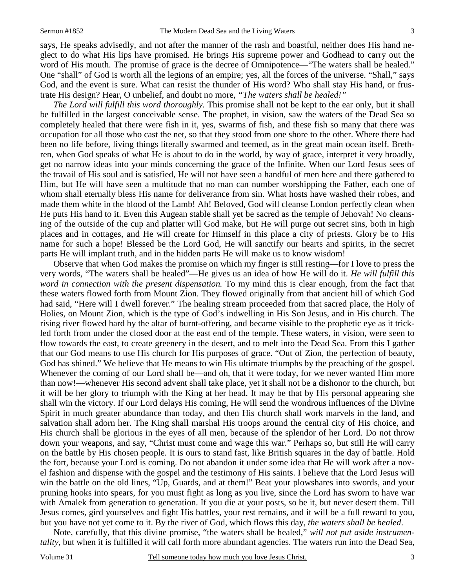says, He speaks advisedly, and not after the manner of the rash and boastful, neither does His hand neglect to do what His lips have promised. He brings His supreme power and Godhead to carry out the word of His mouth. The promise of grace is the decree of Omnipotence—"The waters shall be healed." One "shall" of God is worth all the legions of an empire; yes, all the forces of the universe. "Shall," says God, and the event is sure. What can resist the thunder of His word? Who shall stay His hand, or frustrate His design? Hear, O unbelief, and doubt no more, *"The waters shall be healed!"*

*The Lord will fulfill this word thoroughly.* This promise shall not be kept to the ear only, but it shall be fulfilled in the largest conceivable sense. The prophet, in vision, saw the waters of the Dead Sea so completely healed that there were fish in it, yes, swarms of fish, and these fish so many that there was occupation for all those who cast the net, so that they stood from one shore to the other. Where there had been no life before, living things literally swarmed and teemed, as in the great main ocean itself. Brethren, when God speaks of what He is about to do in the world, by way of grace, interpret it very broadly, get no narrow ideas into your minds concerning the grace of the Infinite. When our Lord Jesus sees of the travail of His soul and is satisfied, He will not have seen a handful of men here and there gathered to Him, but He will have seen a multitude that no man can number worshipping the Father, each one of whom shall eternally bless His name for deliverance from sin. What hosts have washed their robes, and made them white in the blood of the Lamb! Ah! Beloved, God will cleanse London perfectly clean when He puts His hand to it. Even this Augean stable shall yet be sacred as the temple of Jehovah! No cleansing of the outside of the cup and platter will God make, but He will purge out secret sins, both in high places and in cottages, and He will create for Himself in this place a city of priests. Glory be to His name for such a hope! Blessed be the Lord God, He will sanctify our hearts and spirits, in the secret parts He will implant truth, and in the hidden parts He will make us to know wisdom!

 Observe that when God makes the promise on which my finger is still resting—for I love to press the very words, "The waters shall be healed"—He gives us an idea of how He will do it. *He will fulfill this word in connection with the present dispensation.* To my mind this is clear enough, from the fact that these waters flowed forth from Mount Zion. They flowed originally from that ancient hill of which God had said, "Here will I dwell forever." The healing stream proceeded from that sacred place, the Holy of Holies, on Mount Zion, which is the type of God's indwelling in His Son Jesus, and in His church. The rising river flowed hard by the altar of burnt-offering, and became visible to the prophetic eye as it trickled forth from under the closed door at the east end of the temple. These waters, in vision, were seen to flow towards the east, to create greenery in the desert, and to melt into the Dead Sea. From this I gather that our God means to use His church for His purposes of grace. "Out of Zion, the perfection of beauty, God has shined." We believe that He means to win His ultimate triumphs by the preaching of the gospel. Whenever the coming of our Lord shall be—and oh, that it were today, for we never wanted Him more than now!—whenever His second advent shall take place, yet it shall not be a dishonor to the church, but it will be her glory to triumph with the King at her head. It may be that by His personal appearing she shall win the victory. If our Lord delays His coming, He will send the wondrous influences of the Divine Spirit in much greater abundance than today, and then His church shall work marvels in the land, and salvation shall adorn her. The King shall marshal His troops around the central city of His choice, and His church shall be glorious in the eyes of all men, because of the splendor of her Lord. Do not throw down your weapons, and say, "Christ must come and wage this war." Perhaps so, but still He will carry on the battle by His chosen people. It is ours to stand fast, like British squares in the day of battle. Hold the fort, because your Lord is coming. Do not abandon it under some idea that He will work after a novel fashion and dispense with the gospel and the testimony of His saints. I believe that the Lord Jesus will win the battle on the old lines, "Up, Guards, and at them!" Beat your plowshares into swords, and your pruning hooks into spears, for you must fight as long as you live, since the Lord has sworn to have war with Amalek from generation to generation. If you die at your posts, so be it, but never desert them. Till Jesus comes, gird yourselves and fight His battles, your rest remains, and it will be a full reward to you, but you have not yet come to it. By the river of God, which flows this day, *the waters shall be healed*.

 Note, carefully, that this divine promise, "the waters shall be healed," *will not put aside instrumentality,* but when it is fulfilled it will call forth more abundant agencies. The waters run into the Dead Sea,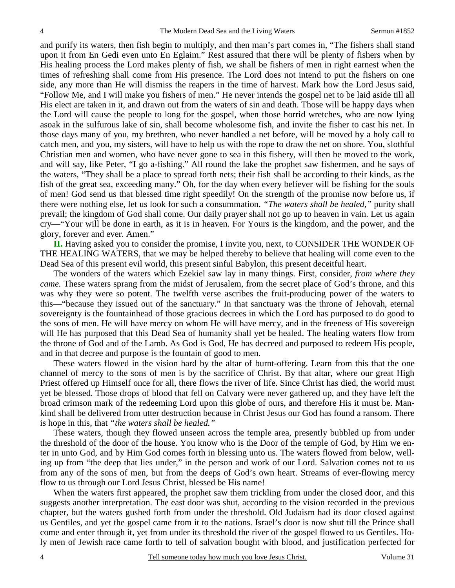and purify its waters, then fish begin to multiply, and then man's part comes in, "The fishers shall stand upon it from En Gedi even unto En Eglaim." Rest assured that there will be plenty of fishers when by His healing process the Lord makes plenty of fish, we shall be fishers of men in right earnest when the times of refreshing shall come from His presence. The Lord does not intend to put the fishers on one side, any more than He will dismiss the reapers in the time of harvest. Mark how the Lord Jesus said, "Follow Me, and I will make you fishers of men." He never intends the gospel net to be laid aside till all His elect are taken in it, and drawn out from the waters of sin and death. Those will be happy days when the Lord will cause the people to long for the gospel, when those horrid wretches, who are now lying asoak in the sulfurous lake of sin, shall become wholesome fish, and invite the fisher to cast his net. In those days many of you, my brethren, who never handled a net before, will be moved by a holy call to catch men, and you, my sisters, will have to help us with the rope to draw the net on shore. You, slothful Christian men and women, who have never gone to sea in this fishery, will then be moved to the work, and will say, like Peter, "I go a-fishing." All round the lake the prophet saw fishermen, and he says of the waters, "They shall be a place to spread forth nets; their fish shall be according to their kinds, as the fish of the great sea, exceeding many." Oh, for the day when every believer will be fishing for the souls of men! God send us that blessed time right speedily! On the strength of the promise now before us, if there were nothing else, let us look for such a consummation. *"The waters shall be healed,"* purity shall prevail; the kingdom of God shall come. Our daily prayer shall not go up to heaven in vain. Let us again cry—"Your will be done in earth, as it is in heaven. For Yours is the kingdom, and the power, and the glory, forever and ever. Amen."

**II.** Having asked you to consider the promise, I invite you, next, to CONSIDER THE WONDER OF THE HEALING WATERS, that we may be helped thereby to believe that healing will come even to the Dead Sea of this present evil world, this present sinful Babylon, this present deceitful heart.

 The wonders of the waters which Ezekiel saw lay in many things. First, consider, *from where they came.* These waters sprang from the midst of Jerusalem, from the secret place of God's throne, and this was why they were so potent. The twelfth verse ascribes the fruit-producing power of the waters to this—"because they issued out of the sanctuary." In that sanctuary was the throne of Jehovah, eternal sovereignty is the fountainhead of those gracious decrees in which the Lord has purposed to do good to the sons of men. He will have mercy on whom He will have mercy, and in the freeness of His sovereign will He has purposed that this Dead Sea of humanity shall yet be healed. The healing waters flow from the throne of God and of the Lamb. As God is God, He has decreed and purposed to redeem His people, and in that decree and purpose is the fountain of good to men.

 These waters flowed in the vision hard by the altar of burnt-offering. Learn from this that the one channel of mercy to the sons of men is by the sacrifice of Christ. By that altar, where our great High Priest offered up Himself once for all, there flows the river of life. Since Christ has died, the world must yet be blessed. Those drops of blood that fell on Calvary were never gathered up, and they have left the broad crimson mark of the redeeming Lord upon this globe of ours, and therefore His it must be. Mankind shall be delivered from utter destruction because in Christ Jesus our God has found a ransom. There is hope in this, that *"the waters shall be healed."*

 These waters, though they flowed unseen across the temple area, presently bubbled up from under the threshold of the door of the house. You know who is the Door of the temple of God, by Him we enter in unto God, and by Him God comes forth in blessing unto us. The waters flowed from below, welling up from "the deep that lies under," in the person and work of our Lord. Salvation comes not to us from any of the sons of men, but from the deeps of God's own heart. Streams of ever-flowing mercy flow to us through our Lord Jesus Christ, blessed be His name!

 When the waters first appeared, the prophet saw them trickling from under the closed door, and this suggests another interpretation. The east door was shut, according to the vision recorded in the previous chapter, but the waters gushed forth from under the threshold. Old Judaism had its door closed against us Gentiles, and yet the gospel came from it to the nations. Israel's door is now shut till the Prince shall come and enter through it, yet from under its threshold the river of the gospel flowed to us Gentiles. Holy men of Jewish race came forth to tell of salvation bought with blood, and justification perfected for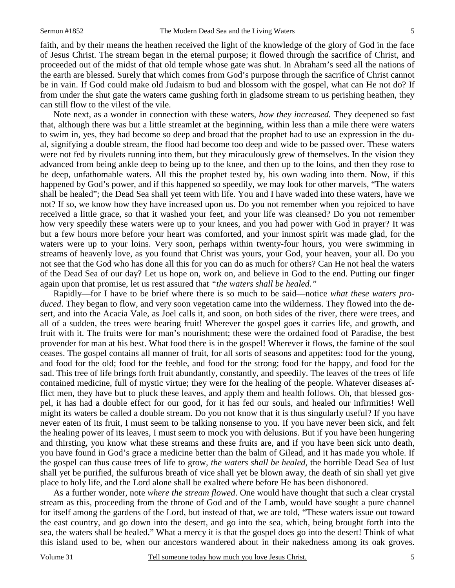faith, and by their means the heathen received the light of the knowledge of the glory of God in the face of Jesus Christ. The stream began in the eternal purpose; it flowed through the sacrifice of Christ, and proceeded out of the midst of that old temple whose gate was shut. In Abraham's seed all the nations of the earth are blessed. Surely that which comes from God's purpose through the sacrifice of Christ cannot be in vain. If God could make old Judaism to bud and blossom with the gospel, what can He not do? If from under the shut gate the waters came gushing forth in gladsome stream to us perishing heathen, they can still flow to the vilest of the vile.

 Note next, as a wonder in connection with these waters, *how they increased.* They deepened so fast that, although there was but a little streamlet at the beginning, within less than a mile there were waters to swim in, yes, they had become so deep and broad that the prophet had to use an expression in the dual, signifying a double stream, the flood had become too deep and wide to be passed over. These waters were not fed by rivulets running into them, but they miraculously grew of themselves. In the vision they advanced from being ankle deep to being up to the knee, and then up to the loins, and then they rose to be deep, unfathomable waters. All this the prophet tested by, his own wading into them. Now, if this happened by God's power, and if this happened so speedily, we may look for other marvels, "The waters shall be healed"; the Dead Sea shall yet teem with life. You and I have waded into these waters, have we not? If so, we know how they have increased upon us. Do you not remember when you rejoiced to have received a little grace, so that it washed your feet, and your life was cleansed? Do you not remember how very speedily these waters were up to your knees, and you had power with God in prayer? It was but a few hours more before your heart was comforted, and your inmost spirit was made glad, for the waters were up to your loins. Very soon, perhaps within twenty-four hours, you were swimming in streams of heavenly love, as you found that Christ was yours, your God, your heaven, your all. Do you not see that the God who has done all this for you can do as much for others? Can He not heal the waters of the Dead Sea of our day? Let us hope on, work on, and believe in God to the end. Putting our finger again upon that promise, let us rest assured that *"the waters shall be healed."*

 Rapidly—for I have to be brief where there is so much to be said—notice *what these waters produced*. They began to flow, and very soon vegetation came into the wilderness. They flowed into the desert, and into the Acacia Vale, as Joel calls it, and soon, on both sides of the river, there were trees, and all of a sudden, the trees were bearing fruit! Wherever the gospel goes it carries life, and growth, and fruit with it. The fruits were for man's nourishment; these were the ordained food of Paradise, the best provender for man at his best. What food there is in the gospel! Wherever it flows, the famine of the soul ceases. The gospel contains all manner of fruit, for all sorts of seasons and appetites: food for the young, and food for the old; food for the feeble, and food for the strong; food for the happy, and food for the sad. This tree of life brings forth fruit abundantly, constantly, and speedily. The leaves of the trees of life contained medicine, full of mystic virtue; they were for the healing of the people. Whatever diseases afflict men, they have but to pluck these leaves, and apply them and health follows. Oh, that blessed gospel, it has had a double effect for our good, for it has fed our souls, and healed our infirmities! Well might its waters be called a double stream. Do you not know that it is thus singularly useful? If you have never eaten of its fruit, I must seem to be talking nonsense to you. If you have never been sick, and felt the healing power of its leaves, I must seem to mock you with delusions. But if you have been hungering and thirsting, you know what these streams and these fruits are, and if you have been sick unto death, you have found in God's grace a medicine better than the balm of Gilead, and it has made you whole. If the gospel can thus cause trees of life to grow, *the waters shall be healed,* the horrible Dead Sea of lust shall yet be purified, the sulfurous breath of vice shall yet be blown away, the death of sin shall yet give place to holy life, and the Lord alone shall be exalted where before He has been dishonored.

 As a further wonder, note *where the stream flowed*. One would have thought that such a clear crystal stream as this, proceeding from the throne of God and of the Lamb, would have sought a pure channel for itself among the gardens of the Lord, but instead of that, we are told, "These waters issue out toward the east country, and go down into the desert, and go into the sea, which, being brought forth into the sea, the waters shall be healed." What a mercy it is that the gospel does go into the desert! Think of what this island used to be, when our ancestors wandered about in their nakedness among its oak groves.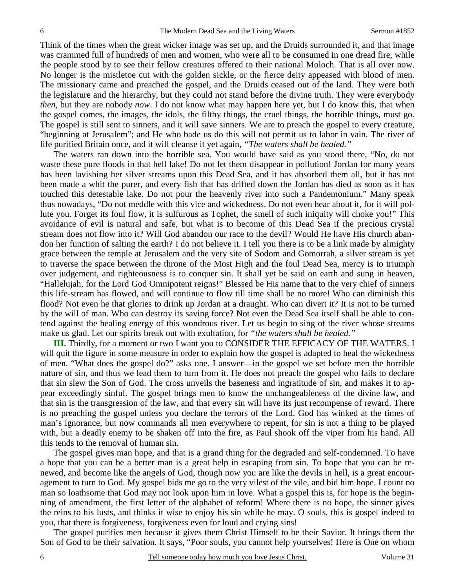Think of the times when the great wicker image was set up, and the Druids surrounded it, and that image was crammed full of hundreds of men and women, who were all to be consumed in one dread fire, while the people stood by to see their fellow creatures offered to their national Moloch. That is all over now. No longer is the mistletoe cut with the golden sickle, or the fierce deity appeased with blood of men. The missionary came and preached the gospel, and the Druids ceased out of the land. They were both the legislature and the hierarchy, but they could not stand before the divine truth. They were everybody *then,* but they are nobody *now*. I do not know what may happen here yet, but I do know this, that when the gospel comes, the images, the idols, the filthy things, the cruel things, the horrible things, must go. The gospel is still sent to sinners, and it will save sinners. We are to preach the gospel to every creature, "beginning at Jerusalem"; and He who bade us do this will not permit us to labor in vain. The river of life purified Britain once, and it will cleanse it yet again, *"The waters shall be healed."*

 The waters ran down into the horrible sea. You would have said as you stood there, "No, do not waste these pure floods in that hell lake! Do not let them disappear in pollution! Jordan for many years has been lavishing her silver streams upon this Dead Sea, and it has absorbed them all, but it has not been made a whit the purer, and every fish that has drifted down the Jordan has died as soon as it has touched this detestable lake. Do not pour the heavenly river into such a Pandemonium." Many speak thus nowadays, "Do not meddle with this vice and wickedness. Do not even hear about it, for it will pollute you. Forget its foul flow, it is sulfurous as Tophet, the smell of such iniquity will choke you!" This avoidance of evil is natural and safe, but what is to become of this Dead Sea if the precious crystal stream does not flow into it? Will God abandon our race to the devil? Would He have His church abandon her function of salting the earth? I do not believe it. I tell you there is to be a link made by almighty grace between the temple at Jerusalem and the very site of Sodom and Gomorrah, a silver stream is yet to traverse the space between the throne of the Most High and the foul Dead Sea, mercy is to triumph over judgement, and righteousness is to conquer sin. It shall yet be said on earth and sung in heaven, "Hallelujah, for the Lord God Omnipotent reigns!" Blessed be His name that to the very chief of sinners this life-stream has flowed, and will continue to flow till time shall be no more! Who can diminish this flood? Not even he that glories to drink up Jordan at a draught. Who can divert it? It is not to be turned by the will of man. Who can destroy its saving force? Not even the Dead Sea itself shall be able to contend against the healing energy of this wondrous river. Let us begin to sing of the river whose streams make us glad. Let our spirits break out with exultation, for *"the waters shall be healed."*

**III.** Thirdly, for a moment or two I want you to CONSIDER THE EFFICACY OF THE WATERS. I will quit the figure in some measure in order to explain how the gospel is adapted to heal the wickedness of men. "What does the gospel do?" asks one. I answer—in the gospel we set before men the horrible nature of sin, and thus we lead them to turn from it. He does not preach the gospel who fails to declare that sin slew the Son of God. The cross unveils the baseness and ingratitude of sin, and makes it to appear exceedingly sinful. The gospel brings men to know the unchangeableness of the divine law, and that sin is the transgression of the law, and that every sin will have its just recompense of reward. There is no preaching the gospel unless you declare the terrors of the Lord. God has winked at the times of man's ignorance, but now commands all men everywhere to repent, for sin is not a thing to be played with, but a deadly enemy to be shaken off into the fire, as Paul shook off the viper from his hand. All this tends to the removal of human sin.

 The gospel gives man hope, and that is a grand thing for the degraded and self-condemned. To have a hope that you can be a better man is a great help in escaping from sin. To hope that you can be renewed, and become like the angels of God, though now you are like the devils in hell, is a great encouragement to turn to God. My gospel bids me go to the very vilest of the vile, and bid him hope. I count no man so loathsome that God may not look upon him in love. What a gospel this is, for hope is the beginning of amendment, the first letter of the alphabet of reform! Where there is no hope, the sinner gives the reins to his lusts, and thinks it wise to enjoy his sin while he may. O souls, this is gospel indeed to you, that there is forgiveness, forgiveness even for loud and crying sins!

 The gospel purifies men because it gives them Christ Himself to be their Savior. It brings them the Son of God to be their salvation. It says, "Poor souls, you cannot help yourselves! Here is One on whom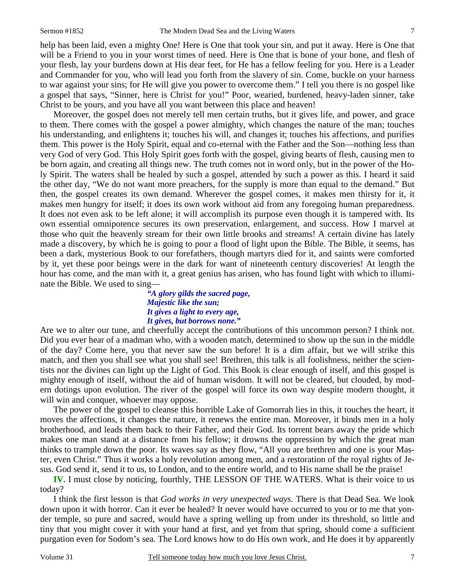help has been laid, even a mighty One! Here is One that took your sin, and put it away. Here is One that will be a Friend to you in your worst times of need. Here is One that is bone of your bone, and flesh of your flesh, lay your burdens down at His dear feet, for He has a fellow feeling for you. Here is a Leader and Commander for you, who will lead you forth from the slavery of sin. Come, buckle on your harness to war against your sins; for He will give you power to overcome them." I tell you there is no gospel like a gospel that says, "Sinner, here is Christ for you!" Poor, wearied, burdened, heavy-laden sinner, take Christ to be yours, and you have all you want between this place and heaven!

 Moreover, the gospel does not merely tell men certain truths, but it gives life, and power, and grace to them. There comes with the gospel a power almighty, which changes the nature of the man; touches his understanding, and enlightens it; touches his will, and changes it; touches his affections, and purifies them. This power is the Holy Spirit, equal and co-eternal with the Father and the Son—nothing less than very God of very God. This Holy Spirit goes forth with the gospel, giving hearts of flesh, causing men to be born again, and creating all things new. The truth comes not in word only, but in the power of the Holy Spirit. The waters shall be healed by such a gospel, attended by such a power as this. I heard it said the other day, "We do not want more preachers, for the supply is more than equal to the demand." But then, the gospel creates its own demand. Wherever the gospel comes, it makes men thirsty for it, it makes men hungry for itself; it does its own work without aid from any foregoing human preparedness. It does not even ask to be left alone; it will accomplish its purpose even though it is tampered with. Its own essential omnipotence secures its own preservation, enlargement, and success. How I marvel at those who quit the heavenly stream for their own little brooks and streams! A certain divine has lately made a discovery, by which he is going to pour a flood of light upon the Bible. The Bible, it seems, has been a dark, mysterious Book to our forefathers, though martyrs died for it, and saints were comforted by it, yet these poor beings were in the dark for want of nineteenth century discoveries! At length the hour has come, and the man with it, a great genius has arisen, who has found light with which to illuminate the Bible. We used to sing—

### *"A glory gilds the sacred page, Majestic like the sun; It gives a light to every age, It gives, but borrows none."*

Are we to alter our tune, and cheerfully accept the contributions of this uncommon person? I think not. Did you ever hear of a madman who, with a wooden match, determined to show up the sun in the middle of the day? Come here, you that never saw the sun before! It is a dim affair, but we will strike this match, and then you shall see what you shall see! Brethren, this talk is all foolishness, neither the scientists nor the divines can light up the Light of God. This Book is clear enough of itself, and this gospel is mighty enough of itself, without the aid of human wisdom. It will not be cleared, but clouded, by modern dotings upon evolution. The river of the gospel will force its own way despite modern thought, it will win and conquer, whoever may oppose.

 The power of the gospel to cleanse this horrible Lake of Gomorrah lies in this, it touches the heart, it moves the affections, it changes the nature, it renews the entire man. Moreover, it binds men in a holy brotherhood, and leads them back to their Father, and their God. Its torrent bears away the pride which makes one man stand at a distance from his fellow; it drowns the oppression by which the great man thinks to trample down the poor. Its waves say as they flow, "All you are brethren and one is your Master, even Christ." Thus it works a holy revolution among men, and a restoration of the royal rights of Jesus. God send it, send it to us, to London, and to the entire world, and to His name shall be the praise!

**IV.** I must close by noticing, fourthly, THE LESSON OF THE WATERS. What is their voice to us today?

 I think the first lesson is that *God works in very unexpected ways*. There is that Dead Sea. We look down upon it with horror. Can it ever be healed? It never would have occurred to you or to me that yonder temple, so pure and sacred, would have a spring welling up from under its threshold, so little and tiny that you might cover it with your hand at first, and yet from that spring, should come a sufficient purgation even for Sodom's sea. The Lord knows how to do His own work, and He does it by apparently